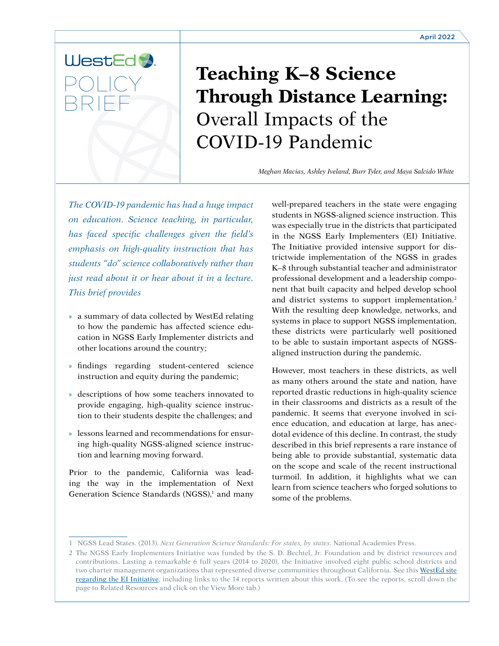# WestEd POLICY BRIEF

# **Teaching K–8 Science Through Distance Learning:** Overall Impacts of the COVID-19 Pandemic

*Meghan Macias, Ashley Iveland, Burr Tyler, and Maya Salcido White*

*The COVID-19 pandemic has had a huge impact on education. Science teaching, in particular, has faced specific challenges given the field's emphasis on high-quality instruction that has students "do" science collaboratively rather than just read about it or hear about it in a lecture. This brief provides* 

- » a summary of data collected by WestEd relating to how the pandemic has affected science education in NGSS Early Implementer districts and other locations around the country;
- » findings regarding student-centered science instruction and equity during the pandemic;
- » descriptions of how some teachers innovated to provide engaging, high-quality science instruction to their students despite the challenges; and
- » lessons learned and recommendations for ensuring high-quality NGSS-aligned science instruction and learning moving forward.

Prior to the pandemic, California was leading the way in the implementation of Next Generation Science Standards (NGSS),<sup>1</sup> and many well-prepared teachers in the state were engaging students in NGSS-aligned science instruction. This was especially true in the districts that participated in the NGSS Early Implementers (EI) Initiative. The Initiative provided intensive support for districtwide implementation of the NGSS in grades K–8 through substantial teacher and administrator professional development and a leadership component that built capacity and helped develop school and district systems to support implementation.<sup>2</sup> With the resulting deep knowledge, networks, and systems in place to support NGSS implementation, these districts were particularly well positioned to be able to sustain important aspects of NGSSaligned instruction during the pandemic.

However, most teachers in these districts, as well as many others around the state and nation, have reported drastic reductions in high-quality science in their classrooms and districts as a result of the pandemic. It seems that everyone involved in science education, and education at large, has anecdotal evidence of this decline. In contrast, the study described in this brief represents a rare instance of being able to provide substantial, systematic data on the scope and scale of the recent instructional turmoil. In addition, it highlights what we can learn from science teachers who forged solutions to some of the problems.

<sup>1</sup> NGSS Lead States. (2013). *Next Generation Science Standards: For states, by states*. National Academies Press.

<sup>2</sup> The NGSS Early Implementers Initiative was funded by the S. D. Bechtel, Jr. Foundation and by district resources and contributions. Lasting a remarkable 6 full years (2014 to 2020), the Initiative involved eight public school districts and two charter management organizations that represented diverse communities throughout California. See this WestEd site [regarding the EI Initiative,](https://www.wested.org/?q=CA%20K-8%20Early%20Implementers%20InitaI&search_type=google) including links to the 14 reports written about this work. (To see the reports, scroll down the page to Related Resources and click on the View More tab.)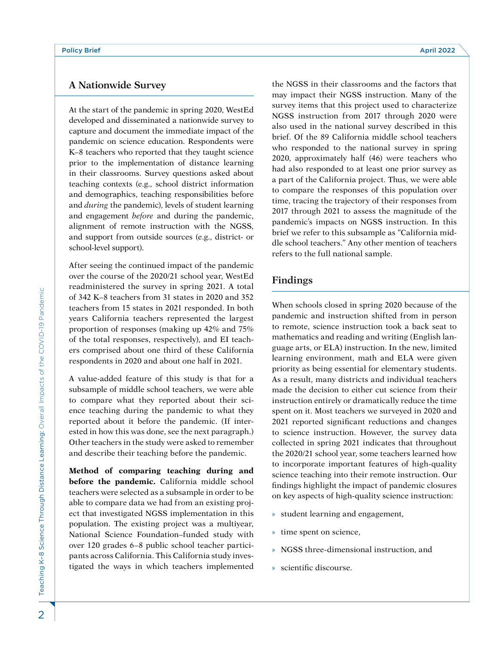# **A Nationwide Survey**

At the start of the pandemic in spring 2020, WestEd developed and disseminated a nationwide survey to capture and document the immediate impact of the pandemic on science education. Respondents were K–8 teachers who reported that they taught science prior to the implementation of distance learning in their classrooms. Survey questions asked about teaching contexts (e.g., school district information and demographics, teaching responsibilities before and *during* the pandemic), levels of student learning and engagement *before* and during the pandemic, alignment of remote instruction with the NGSS, and support from outside sources (e.g., district- or school-level support).

After seeing the continued impact of the pandemic over the course of the 2020/21 school year, WestEd readministered the survey in spring 2021. A total of 342 K–8 teachers from 31 states in 2020 and 352 teachers from 15 states in 2021 responded. In both years California teachers represented the largest proportion of responses (making up 42% and 75% of the total responses, respectively), and EI teachers comprised about one third of these California respondents in 2020 and about one half in 2021.

A value-added feature of this study is that for a subsample of middle school teachers, we were able to compare what they reported about their science teaching during the pandemic to what they reported about it before the pandemic. (If interested in how this was done, see the next paragraph.) Other teachers in the study were asked to remember and describe their teaching before the pandemic.

**Method of comparing teaching during and before the pandemic.** California middle school teachers were selected as a subsample in order to be able to compare data we had from an existing project that investigated NGSS implementation in this population. The existing project was a multiyear, National Science Foundation–funded study with over 120 grades 6–8 public school teacher participants across California. This California study investigated the ways in which teachers implemented

the NGSS in their classrooms and the factors that may impact their NGSS instruction. Many of the survey items that this project used to characterize NGSS instruction from 2017 through 2020 were also used in the national survey described in this brief. Of the 89 California middle school teachers who responded to the national survey in spring 2020, approximately half (46) were teachers who had also responded to at least one prior survey as a part of the California project. Thus, we were able to compare the responses of this population over time, tracing the trajectory of their responses from 2017 through 2021 to assess the magnitude of the pandemic's impacts on NGSS instruction. In this brief we refer to this subsample as "California middle school teachers." Any other mention of teachers refers to the full national sample.

# **Findings**

When schools closed in spring 2020 because of the pandemic and instruction shifted from in person to remote, science instruction took a back seat to mathematics and reading and writing (English language arts, or ELA) instruction. In the new, limited learning environment, math and ELA were given priority as being essential for elementary students. As a result, many districts and individual teachers made the decision to either cut science from their instruction entirely or dramatically reduce the time spent on it. Most teachers we surveyed in 2020 and 2021 reported significant reductions and changes to science instruction. However, the survey data collected in spring 2021 indicates that throughout the 2020/21 school year, some teachers learned how to incorporate important features of high-quality science teaching into their remote instruction. Our findings highlight the impact of pandemic closures on key aspects of high-quality science instruction:

- » student learning and engagement,
- » time spent on science,
- » NGSS three-dimensional instruction, and
- » scientific discourse.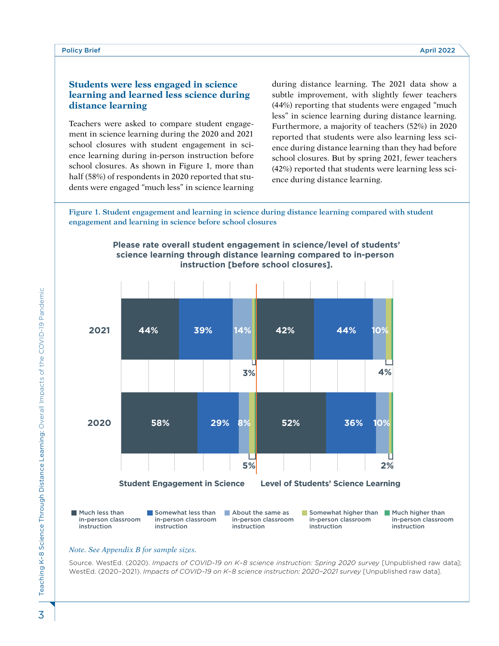### **Students were less engaged in science learning and learned less science during distance learning**

Teachers were asked to compare student engagement in science learning during the 2020 and 2021 school closures with student engagement in science learning during in-person instruction before school closures. As shown in Figure 1, more than half (58%) of respondents in 2020 reported that students were engaged "much less" in science learning during distance learning. The 2021 data show a subtle improvement, with slightly fewer teachers (44%) reporting that students were engaged "much less" in science learning during distance learning. Furthermore, a majority of teachers (52%) in 2020 reported that students were also learning less science during distance learning than they had before school closures. But by spring 2021, fewer teachers (42%) reported that students were learning less science during distance learning.

**Figure 1. Student engagement and learning in science during distance learning compared with student engagement and learning in science before school closures**



#### **Please rate overall student engagement in science/level of students' science learning through distance learning compared to in-person instruction [before school closures].**

#### *Note. See Appendix B for sample sizes.*

Source. WestEd. (2020). *Impacts of COVID-19 on K–8 science instruction: Spring 2020 survey* [Unpublished raw data]; WestEd. (2020–2021). *Impacts of COVID-19 on K–8 science instruction: 2020–2021 survey* [Unpublished raw data].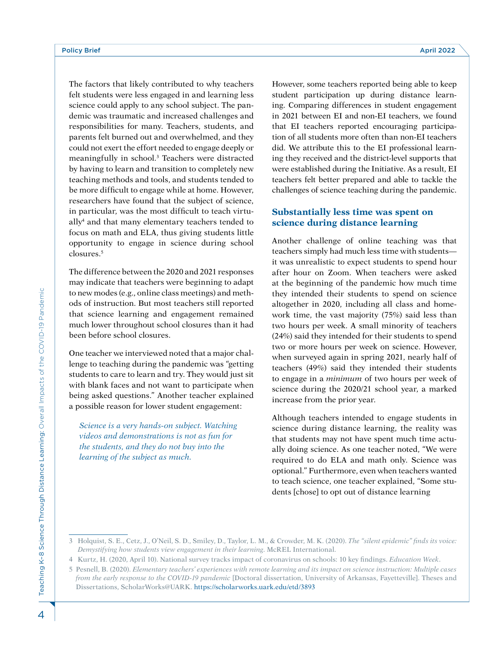The factors that likely contributed to why teachers felt students were less engaged in and learning less science could apply to any school subject. The pandemic was traumatic and increased challenges and responsibilities for many. Teachers, students, and parents felt burned out and overwhelmed, and they could not exert the effort needed to engage deeply or meaningfully in school.<sup>3</sup> Teachers were distracted by having to learn and transition to completely new teaching methods and tools, and students tended to be more difficult to engage while at home. However, researchers have found that the subject of science, in particular, was the most difficult to teach virtually4 and that many elementary teachers tended to focus on math and ELA, thus giving students little opportunity to engage in science during school closures.5

The difference between the 2020 and 2021 responses may indicate that teachers were beginning to adapt to new modes (e.g., online class meetings) and methods of instruction. But most teachers still reported that science learning and engagement remained much lower throughout school closures than it had been before school closures.

One teacher we interviewed noted that a major challenge to teaching during the pandemic was "getting students to care to learn and try. They would just sit with blank faces and not want to participate when being asked questions." Another teacher explained a possible reason for lower student engagement:

*Science is a very hands-on subject. Watching videos and demonstrations is not as fun for the students, and they do not buy into the learning of the subject as much.*

However, some teachers reported being able to keep student participation up during distance learning. Comparing differences in student engagement in 2021 between EI and non-EI teachers, we found that EI teachers reported encouraging participation of all students more often than non-EI teachers did. We attribute this to the EI professional learning they received and the district-level supports that were established during the Initiative. As a result, EI teachers felt better prepared and able to tackle the challenges of science teaching during the pandemic.

# **Substantially less time was spent on science during distance learning**

Another challenge of online teaching was that teachers simply had much less time with students it was unrealistic to expect students to spend hour after hour on Zoom. When teachers were asked at the beginning of the pandemic how much time they intended their students to spend on science altogether in 2020, including all class and homework time, the vast majority (75%) said less than two hours per week. A small minority of teachers (24%) said they intended for their students to spend two or more hours per week on science. However, when surveyed again in spring 2021, nearly half of teachers (49%) said they intended their students to engage in a *minimum* of two hours per week of science during the 2020/21 school year, a marked increase from the prior year.

Although teachers intended to engage students in science during distance learning, the reality was that students may not have spent much time actually doing science. As one teacher noted, "We were required to do ELA and math only. Science was optional." Furthermore, even when teachers wanted to teach science, one teacher explained, "Some students [chose] to opt out of distance learning

<sup>3</sup> Holquist, S. E., Cetz, J., O'Neil, S. D., Smiley, D., Taylor, L. M., & Crowder, M. K. (2020). *The "silent epidemic" finds its voice: Demystifying how students view engagement in their learning*. McREL International.

<sup>4</sup> Kurtz, H. (2020, April 10). National survey tracks impact of coronavirus on schools: 10 key findings. *Education Week*.

<sup>5</sup> Pesnell, B. (2020). *Elementary teachers' experiences with remote learning and its impact on science instruction: Multiple cases from the early response to the COVID-19 pandemic* [Doctoral dissertation, University of Arkansas, Fayetteville]. Theses and Dissertations, ScholarWorks@UARK.<https://scholarworks.uark.edu/etd/3893>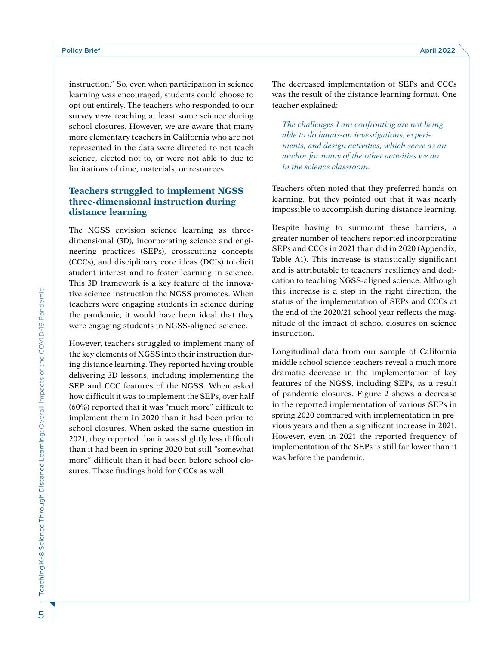instruction." So, even when participation in science learning was encouraged, students could choose to opt out entirely. The teachers who responded to our survey *were* teaching at least some science during school closures. However, we are aware that many more elementary teachers in California who are not represented in the data were directed to not teach science, elected not to, or were not able to due to limitations of time, materials, or resources.

### **Teachers struggled to implement NGSS three-dimensional instruction during distance learning**

The NGSS envision science learning as threedimensional (3D), incorporating science and engineering practices (SEPs), crosscutting concepts (CCCs), and disciplinary core ideas (DCIs) to elicit student interest and to foster learning in science. This 3D framework is a key feature of the innovative science instruction the NGSS promotes. When teachers were engaging students in science during the pandemic, it would have been ideal that they were engaging students in NGSS-aligned science.

However, teachers struggled to implement many of the key elements of NGSS into their instruction during distance learning. They reported having trouble delivering 3D lessons, including implementing the SEP and CCC features of the NGSS. When asked how difficult it was to implement the SEPs, over half (60%) reported that it was "much more" difficult to implement them in 2020 than it had been prior to school closures. When asked the same question in 2021, they reported that it was slightly less difficult than it had been in spring 2020 but still "somewhat more" difficult than it had been before school closures. These findings hold for CCCs as well.

The decreased implementation of SEPs and CCCs was the result of the distance learning format. One teacher explained:

*The challenges I am confronting are not being able to do hands-on investigations, experiments, and design activities, which serve as an anchor for many of the other activities we do in the science classroom.* 

Teachers often noted that they preferred hands-on learning, but they pointed out that it was nearly impossible to accomplish during distance learning.

Despite having to surmount these barriers, a greater number of teachers reported incorporating SEPs and CCCs in 2021 than did in 2020 (Appendix, Table A1). This increase is statistically significant and is attributable to teachers' resiliency and dedication to teaching NGSS-aligned science. Although this increase is a step in the right direction, the status of the implementation of SEPs and CCCs at the end of the 2020/21 school year reflects the magnitude of the impact of school closures on science instruction.

Longitudinal data from our sample of California middle school science teachers reveal a much more dramatic decrease in the implementation of key features of the NGSS, including SEPs, as a result of pandemic closures. Figure 2 shows a decrease in the reported implementation of various SEPs in spring 2020 compared with implementation in previous years and then a significant increase in 2021. However, even in 2021 the reported frequency of implementation of the SEPs is still far lower than it was before the pandemic.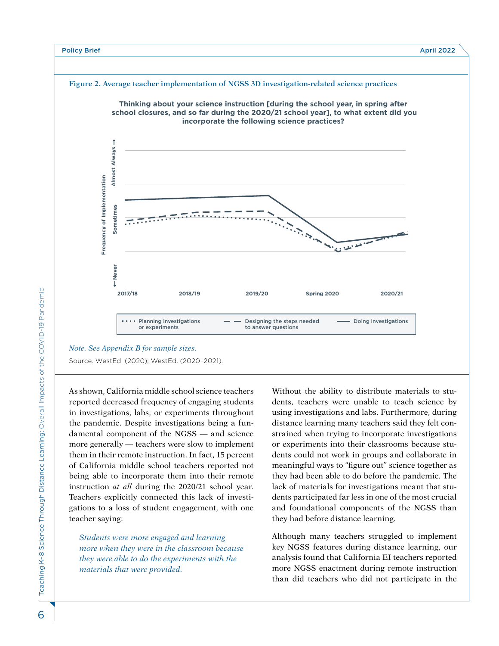

Source. WestEd. (2020); WestEd. (2020–2021).

As shown, California middle school science teachers reported decreased frequency of engaging students in investigations, labs, or experiments throughout the pandemic. Despite investigations being a fundamental component of the NGSS — and science more generally — teachers were slow to implement them in their remote instruction. In fact, 15 percent of California middle school teachers reported not being able to incorporate them into their remote instruction *at all* during the 2020/21 school year. Teachers explicitly connected this lack of investigations to a loss of student engagement, with one teacher saying:

*Students were more engaged and learning more when they were in the classroom because they were able to do the experiments with the materials that were provided.*

Without the ability to distribute materials to students, teachers were unable to teach science by using investigations and labs. Furthermore, during distance learning many teachers said they felt constrained when trying to incorporate investigations or experiments into their classrooms because students could not work in groups and collaborate in meaningful ways to "figure out" science together as they had been able to do before the pandemic. The lack of materials for investigations meant that students participated far less in one of the most crucial and foundational components of the NGSS than they had before distance learning.

Although many teachers struggled to implement key NGSS features during distance learning, our analysis found that California EI teachers reported more NGSS enactment during remote instruction than did teachers who did not participate in the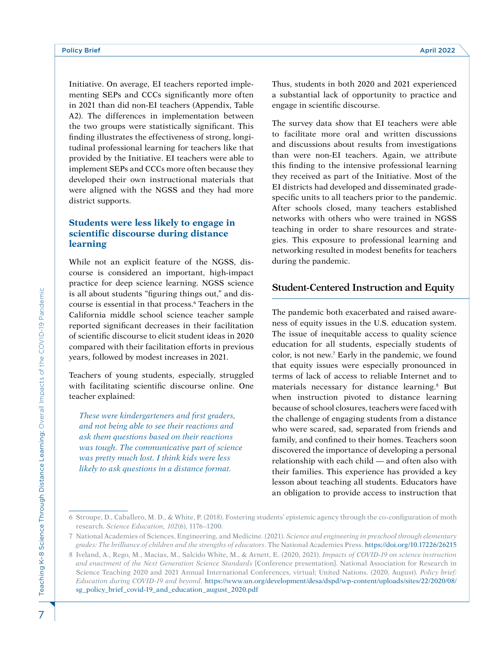Initiative. On average, EI teachers reported implementing SEPs and CCCs significantly more often in 2021 than did non-EI teachers (Appendix, Table A2). The differences in implementation between the two groups were statistically significant. This finding illustrates the effectiveness of strong, longitudinal professional learning for teachers like that provided by the Initiative. EI teachers were able to implement SEPs and CCCs more often because they developed their own instructional materials that were aligned with the NGSS and they had more district supports.

# **Students were less likely to engage in scientific discourse during distance learning**

While not an explicit feature of the NGSS, discourse is considered an important, high-impact practice for deep science learning. NGSS science is all about students "figuring things out," and discourse is essential in that process.6 Teachers in the California middle school science teacher sample reported significant decreases in their facilitation of scientific discourse to elicit student ideas in 2020 compared with their facilitation efforts in previous years, followed by modest increases in 2021.

Teachers of young students, especially, struggled with facilitating scientific discourse online. One teacher explained:

*These were kindergarteners and first graders, and not being able to see their reactions and ask them questions based on their reactions was tough. The communicative part of science was pretty much lost. I think kids were less likely to ask questions in a distance format.* 

Thus, students in both 2020 and 2021 experienced a substantial lack of opportunity to practice and engage in scientific discourse.

The survey data show that EI teachers were able to facilitate more oral and written discussions and discussions about results from investigations than were non-EI teachers. Again, we attribute this finding to the intensive professional learning they received as part of the Initiative. Most of the EI districts had developed and disseminated gradespecific units to all teachers prior to the pandemic. After schools closed, many teachers established networks with others who were trained in NGSS teaching in order to share resources and strategies. This exposure to professional learning and networking resulted in modest benefits for teachers during the pandemic.

# **Student-Centered Instruction and Equity**

The pandemic both exacerbated and raised awareness of equity issues in the U.S. education system. The issue of inequitable access to quality science education for all students, especially students of color, is not new.7 Early in the pandemic, we found that equity issues were especially pronounced in terms of lack of access to reliable Internet and to materials necessary for distance learning.<sup>8</sup> But when instruction pivoted to distance learning because of school closures, teachers were faced with the challenge of engaging students from a distance who were scared, sad, separated from friends and family, and confined to their homes. Teachers soon discovered the importance of developing a personal relationship with each child — and often also with their families. This experience has provided a key lesson about teaching all students. Educators have an obligation to provide access to instruction that

<sup>6</sup> Stroupe, D., Caballero, M. D., & White, P. (2018). Fostering students' epistemic agency through the co-configuration of moth research. *Science Education, 102*(6), 1176–1200.

<sup>7</sup> National Academies of Sciences, Engineering, and Medicine. (2021). *Science and engineering in preschool through elementary grades: The brilliance of children and the strengths of educators*. The National Academies Press.<https://doi.org/10.17226/26215>

<sup>8</sup> Iveland, A., Rego, M., Macias, M., Salcido White, M., & Arnett, E. (2020, 2021). *Impacts of COVID-19 on science instruction and enactment of the Next Generation Science Standards* [Conference presentation]. National Association for Research in Science Teaching 2020 and 2021 Annual International Conferences, virtual; United Nations. (2020, August). *Policy brief: Education during COVID-19 and beyond*. [https://www.un.org/development/desa/dspd/wp-content/uploads/sites/22/2020/08/](https://www.un.org/development/desa/dspd/wp-content/uploads/sites/22/2020/08/sg_policy_brief_covid-19_and_education_august_2020.pdf) [sg\\_policy\\_brief\\_covid-19\\_and\\_education\\_august\\_2020.pdf](https://www.un.org/development/desa/dspd/wp-content/uploads/sites/22/2020/08/sg_policy_brief_covid-19_and_education_august_2020.pdf)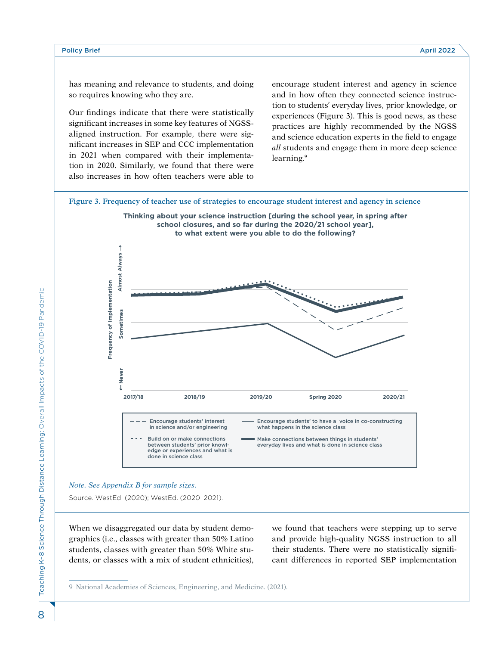has meaning and relevance to students, and doing so requires knowing who they are.

Our findings indicate that there were statistically significant increases in some key features of NGSSaligned instruction. For example, there were significant increases in SEP and CCC implementation in 2021 when compared with their implementation in 2020. Similarly, we found that there were also increases in how often teachers were able to

encourage student interest and agency in science and in how often they connected science instruction to students' everyday lives, prior knowledge, or experiences (Figure 3). This is good news, as these practices are highly recommended by the NGSS and science education experts in the field to engage *all* students and engage them in more deep science learning.<sup>9</sup>

**Figure 3. Frequency of teacher use of strategies to encourage student interest and agency in science** 





#### *Note. See Appendix B for sample sizes.*

Source. WestEd. (2020); WestEd. (2020–2021).

When we disaggregated our data by student demographics (i.e., classes with greater than 50% Latino students, classes with greater than 50% White students, or classes with a mix of student ethnicities),

we found that teachers were stepping up to serve and provide high-quality NGSS instruction to all their students. There were no statistically significant differences in reported SEP implementation

9 National Academies of Sciences, Engineering, and Medicine. (2021).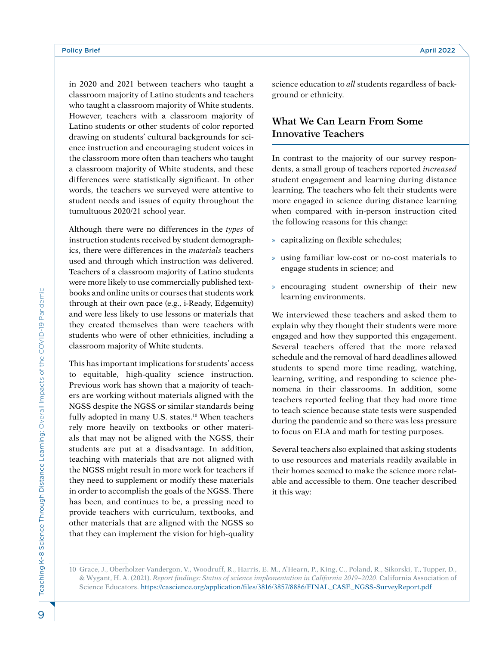in 2020 and 2021 between teachers who taught a classroom majority of Latino students and teachers who taught a classroom majority of White students. However, teachers with a classroom majority of Latino students or other students of color reported drawing on students' cultural backgrounds for science instruction and encouraging student voices in the classroom more often than teachers who taught a classroom majority of White students, and these differences were statistically significant. In other words, the teachers we surveyed were attentive to student needs and issues of equity throughout the tumultuous 2020/21 school year.

Although there were no differences in the *types* of instruction students received by student demographics, there were differences in the *materials* teachers used and through which instruction was delivered. Teachers of a classroom majority of Latino students were more likely to use commercially published textbooks and online units or courses that students work through at their own pace (e.g., i-Ready, Edgenuity) and were less likely to use lessons or materials that they created themselves than were teachers with students who were of other ethnicities, including a classroom majority of White students.

This has important implications for students' access to equitable, high-quality science instruction. Previous work has shown that a majority of teachers are working without materials aligned with the NGSS despite the NGSS or similar standards being fully adopted in many U.S. states.<sup>10</sup> When teachers rely more heavily on textbooks or other materials that may not be aligned with the NGSS, their students are put at a disadvantage. In addition, teaching with materials that are not aligned with the NGSS might result in more work for teachers if they need to supplement or modify these materials in order to accomplish the goals of the NGSS. There has been, and continues to be, a pressing need to provide teachers with curriculum, textbooks, and other materials that are aligned with the NGSS so that they can implement the vision for high-quality

science education to *all* students regardless of background or ethnicity.

# **What We Can Learn From Some Innovative Teachers**

In contrast to the majority of our survey respondents, a small group of teachers reported *increased*  student engagement and learning during distance learning. The teachers who felt their students were more engaged in science during distance learning when compared with in-person instruction cited the following reasons for this change:

- » capitalizing on flexible schedules;
- » using familiar low-cost or no-cost materials to engage students in science; and
- » encouraging student ownership of their new learning environments.

We interviewed these teachers and asked them to explain why they thought their students were more engaged and how they supported this engagement. Several teachers offered that the more relaxed schedule and the removal of hard deadlines allowed students to spend more time reading, watching, learning, writing, and responding to science phenomena in their classrooms. In addition, some teachers reported feeling that they had more time to teach science because state tests were suspended during the pandemic and so there was less pressure to focus on ELA and math for testing purposes.

Several teachers also explained that asking students to use resources and materials readily available in their homes seemed to make the science more relatable and accessible to them. One teacher described it this way:

Teaching K-8 Science Through Distance Learning: Overall Impacts of the COVID-19 Pandemic Teaching K–8 Science Through Distance Learning: Overall Impacts of the COVID-19 Pandemic9

<sup>10</sup> Grace, J., Oberholzer-Vandergon, V., Woodruff, R., Harris, E. M., A'Hearn, P., King, C., Poland, R., Sikorski, T., Tupper, D., & Wygant, H. A. (2021). *Report findings: Status of science implementation in California 2019–2020*. California Association of Science Educators. [https://cascience.org/application/files/3816/3857/8886/FINAL\\_CASE\\_NGSS-SurveyReport.pdf](https://cascience.org/application/files/3816/3857/8886/FINAL_CASE_NGSS-SurveyReport.pdf)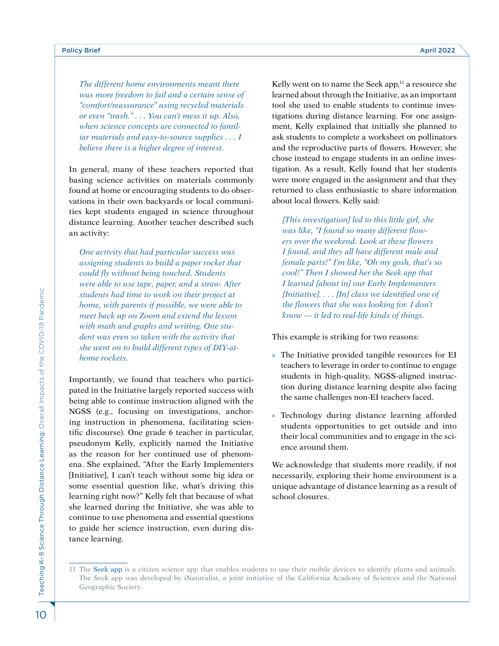*The different home environments meant there was more freedom to fail and a certain sense of "comfort/reassurance" using recycled materials or even "trash." . . . You can't mess it up. Also, when science concepts are connected to familiar materials and easy-to-source supplies . . . I believe there is a higher degree of interest.* 

In general, many of these teachers reported that basing science activities on materials commonly found at home or encouraging students to do observations in their own backyards or local communities kept students engaged in science throughout distance learning. Another teacher described such an activity:

*One activity that had particular success was assigning students to build a paper rocket that could fly without being touched. Students were able to use tape, paper, and a straw. After students had time to work on their project at home, with parents if possible, we were able to meet back up on Zoom and extend the lesson with math and graphs and writing. One student was even so taken with the activity that she went on to build different types of DIY-athome rockets.*

Importantly, we found that teachers who participated in the Initiative largely reported success with being able to continue instruction aligned with the NGSS (e.g., focusing on investigations, anchoring instruction in phenomena, facilitating scientific discourse). One grade 6 teacher in particular, pseudonym Kelly, explicitly named the Initiative as the reason for her continued use of phenomena. She explained, "After the Early Implementers [Initiative], I can't teach without some big idea or some essential question like, what's driving this learning right now?" Kelly felt that because of what she learned during the Initiative, she was able to continue to use phenomena and essential questions to guide her science instruction, even during distance learning.

Kelly went on to name the Seek app, $11$  a resource she learned about through the Initiative, as an important tool she used to enable students to continue investigations during distance learning. For one assignment, Kelly explained that initially she planned to ask students to complete a worksheet on pollinators and the reproductive parts of flowers. However, she chose instead to engage students in an online investigation. As a result, Kelly found that her students were more engaged in the assignment and that they returned to class enthusiastic to share information about local flowers. Kelly said:

*[This investigation] led to this little girl, she was like, "I found so many different flowers over the weekend. Look at these flowers I found, and they all have different male and female parts!" I'm like, "Oh my gosh, that's so cool!" Then I showed her the Seek app that I learned [about in] our Early Implementers [Initiative]. . . . [In] class we identified one of the flowers that she was looking for. I don't know — it led to real-life kinds of things.* 

This example is striking for two reasons:

- » The Initiative provided tangible resources for EI teachers to leverage in order to continue to engage students in high-quality, NGSS-aligned instruction during distance learning despite also facing the same challenges non-EI teachers faced.
- » Technology during distance learning afforded students opportunities to get outside and into their local communities and to engage in the science around them.

We acknowledge that students more readily, if not necessarily, exploring their home environment is a unique advantage of distance learning as a result of school closures.

<sup>11</sup> The [Seek app](https://www.inaturalist.org/pages/seek_app) is a citizen science app that enables students to use their mobile devices to identify plants and animals. The Seek app was developed by iNaturalist, a joint initiative of the California Academy of Sciences and the National Geographic Society.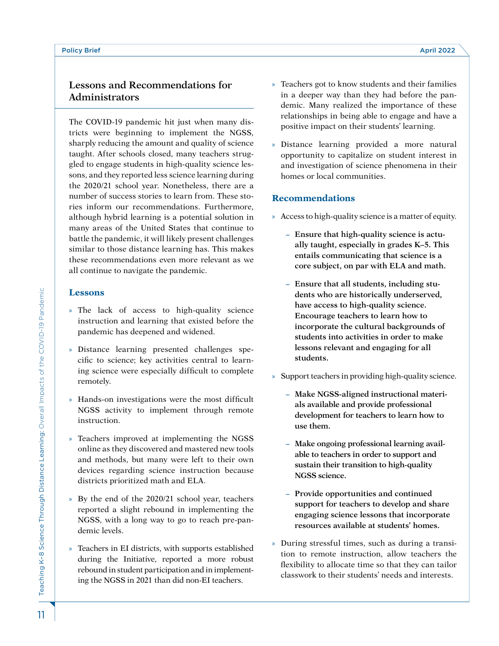# **Lessons and Recommendations for Administrators**

The COVID-19 pandemic hit just when many districts were beginning to implement the NGSS, sharply reducing the amount and quality of science taught. After schools closed, many teachers struggled to engage students in high-quality science lessons, and they reported less science learning during the 2020/21 school year. Nonetheless, there are a number of success stories to learn from. These stories inform our recommendations. Furthermore, although hybrid learning is a potential solution in many areas of the United States that continue to battle the pandemic, it will likely present challenges similar to those distance learning has. This makes these recommendations even more relevant as we all continue to navigate the pandemic.

#### **Lessons**

- » The lack of access to high-quality science instruction and learning that existed before the pandemic has deepened and widened.
- » Distance learning presented challenges specific to science; key activities central to learning science were especially difficult to complete remotely.
- » Hands-on investigations were the most difficult NGSS activity to implement through remote instruction.
- » Teachers improved at implementing the NGSS online as they discovered and mastered new tools and methods, but many were left to their own devices regarding science instruction because districts prioritized math and ELA.
- » By the end of the 2020/21 school year, teachers reported a slight rebound in implementing the NGSS, with a long way to go to reach pre-pandemic levels.
- » Teachers in EI districts, with supports established during the Initiative, reported a more robust rebound in student participation and in implementing the NGSS in 2021 than did non-EI teachers.
- » Teachers got to know students and their families in a deeper way than they had before the pandemic. Many realized the importance of these relationships in being able to engage and have a positive impact on their students' learning.
- » Distance learning provided a more natural opportunity to capitalize on student interest in and investigation of science phenomena in their homes or local communities.

# **Recommendations**

- » Access to high-quality science is a matter of equity.
	- **– Ensure that high-quality science is actually taught, especially in grades K–5. This entails communicating that science is a core subject, on par with ELA and math.**
	- **– Ensure that all students, including students who are historically underserved, have access to high-quality science. Encourage teachers to learn how to incorporate the cultural backgrounds of students into activities in order to make lessons relevant and engaging for all students.**
- » Support teachers in providing high-quality science.
	- **– Make NGSS-aligned instructional materials available and provide professional development for teachers to learn how to use them.**
	- **– Make ongoing professional learning available to teachers in order to support and sustain their transition to high-quality NGSS science.**
	- **– Provide opportunities and continued support for teachers to develop and share engaging science lessons that incorporate resources available at students' homes.**
- » During stressful times, such as during a transition to remote instruction, allow teachers the flexibility to allocate time so that they can tailor classwork to their students' needs and interests.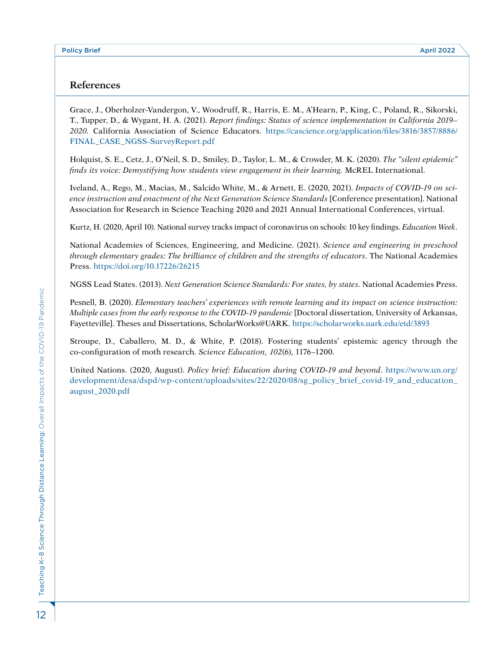# **References**

Grace, J., Oberholzer-Vandergon, V., Woodruff, R., Harris, E. M., A'Hearn, P., King, C., Poland, R., Sikorski, T., Tupper, D., & Wygant, H. A. (2021). *Report findings: Status of science implementation in California 2019– 2020.* California Association of Science Educators. [https://cascience.org/application/files/3816/3857/8886/](https://cascience.org/application/files/3816/3857/8886/FINAL_CASE_NGSS-SurveyReport.pdf) [FINAL\\_CASE\\_NGSS-SurveyReport.pdf](https://cascience.org/application/files/3816/3857/8886/FINAL_CASE_NGSS-SurveyReport.pdf)

Holquist, S. E., Cetz, J., O'Neil, S. D., Smiley, D., Taylor, L. M., & Crowder, M. K. (2020). *The "silent epidemic" finds its voice: Demystifying how students view engagement in their learning.* McREL International.

Iveland, A., Rego, M., Macias, M., Salcido White, M., & Arnett, E. (2020, 2021). *Impacts of COVID-19 on science instruction and enactment of the Next Generation Science Standards* [Conference presentation]. National Association for Research in Science Teaching 2020 and 2021 Annual International Conferences, virtual.

Kurtz, H. (2020, April 10). National survey tracks impact of coronavirus on schools: 10 key findings. *Education Week*.

National Academies of Sciences, Engineering, and Medicine. (2021). *Science and engineering in preschool through elementary grades: The brilliance of children and the strengths of educators*. The National Academies Press. <https://doi.org/10.17226/26215>

NGSS Lead States. (2013). *Next Generation Science Standards: For states, by states*. National Academies Press.

Pesnell, B. (2020). *Elementary teachers' experiences with remote learning and its impact on science instruction: Multiple cases from the early response to the COVID-19 pandemic* [Doctoral dissertation, University of Arkansas, Fayetteville]. Theses and Dissertations, ScholarWorks@UARK. [https://scholarworks.uark.edu/etd/3893](https://scholarworks.uark.edu/etd/3893 )

Stroupe, D., Caballero, M. D., & White, P. (2018). Fostering students' epistemic agency through the co-configuration of moth research. *Science Education, 102*(6), 1176–1200.

United Nations. (2020, August). *Policy brief: Education during COVID-19 and beyond*. [https://www.un.org/](https://www.un.org/development/desa/dspd/wp-content/uploads/sites/22/2020/08/sg_policy_brief_covid-19_and_education_august_2020.pdf ) [development/desa/dspd/wp-content/uploads/sites/22/2020/08/sg\\_policy\\_brief\\_covid-19\\_and\\_education\\_](https://www.un.org/development/desa/dspd/wp-content/uploads/sites/22/2020/08/sg_policy_brief_covid-19_and_education_august_2020.pdf ) [august\\_2020.pdf](https://www.un.org/development/desa/dspd/wp-content/uploads/sites/22/2020/08/sg_policy_brief_covid-19_and_education_august_2020.pdf )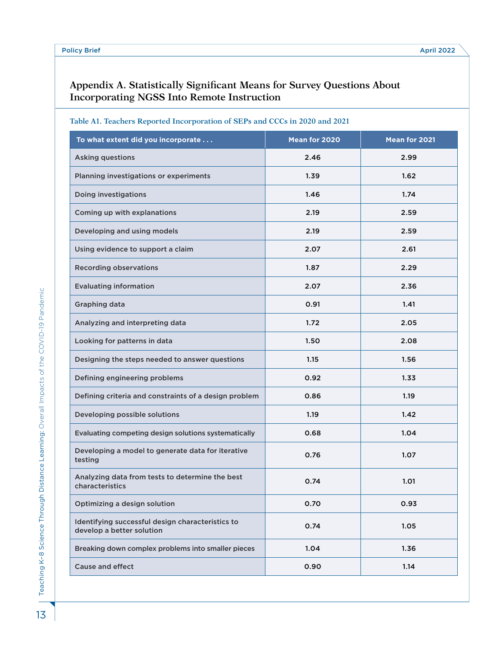# **Appendix A. Statistically Significant Means for Survey Questions About Incorporating NGSS Into Remote Instruction**

| Table A1. Teachers Reported Incorporation of SEPs and CCCs in 2020 and 2021 |
|-----------------------------------------------------------------------------|
|                                                                             |

| To what extent did you incorporate                                            | Mean for 2020 | Mean for 2021 |
|-------------------------------------------------------------------------------|---------------|---------------|
| <b>Asking questions</b>                                                       | 2.46          | 2.99          |
| Planning investigations or experiments                                        | 1.39          | 1.62          |
| Doing investigations                                                          | 1.46          | 1.74          |
| Coming up with explanations                                                   | 2.19          | 2.59          |
| Developing and using models                                                   | 2.19          | 2.59          |
| Using evidence to support a claim                                             | 2.07          | 2.61          |
| <b>Recording observations</b>                                                 | 1.87          | 2.29          |
| <b>Evaluating information</b>                                                 | 2.07          | 2.36          |
| Graphing data                                                                 | 0.91          | 1.41          |
| Analyzing and interpreting data                                               | 1.72          | 2.05          |
| Looking for patterns in data                                                  | 1.50          | 2.08          |
| Designing the steps needed to answer questions                                | 1.15          | 1.56          |
| Defining engineering problems                                                 | 0.92          | 1.33          |
| Defining criteria and constraints of a design problem                         | 0.86          | 1.19          |
| Developing possible solutions                                                 | 1.19          | 1.42          |
| Evaluating competing design solutions systematically                          | 0.68          | 1.04          |
| Developing a model to generate data for iterative<br>testing                  | 0.76          | 1.07          |
| Analyzing data from tests to determine the best<br>characteristics            | 0.74          | 1.01          |
| Optimizing a design solution                                                  | 0.70          | 0.93          |
| Identifying successful design characteristics to<br>develop a better solution | 0.74          | 1.05          |
| Breaking down complex problems into smaller pieces                            | 1.04          | 1.36          |
| <b>Cause and effect</b>                                                       | 0.90          | 1.14          |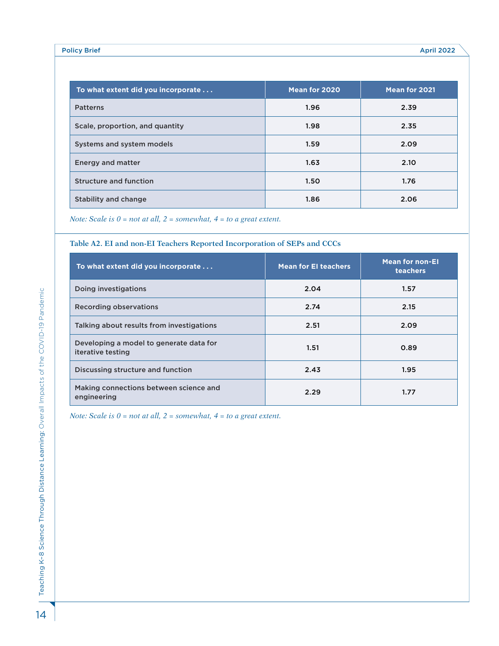| To what extent did you incorporate | Mean for 2020 | Mean for 2021 |
|------------------------------------|---------------|---------------|
| <b>Patterns</b>                    | 1.96          | 2.39          |
| Scale, proportion, and quantity    | 1.98          | 2.35          |
| Systems and system models          | 1.59          | 2.09          |
| <b>Energy and matter</b>           | 1.63          | 2.10          |
| <b>Structure and function</b>      | 1.50          | 1.76          |
| Stability and change               | 1.86          | 2.06          |

*Note: Scale is 0 = not at all, 2 = somewhat, 4 = to a great extent.* 

#### **Table A2. EI and non-EI Teachers Reported Incorporation of SEPs and CCCs**

| To what extent did you incorporate                           | <b>Mean for El teachers</b> | <b>Mean for non-El</b><br><b>teachers</b> |
|--------------------------------------------------------------|-----------------------------|-------------------------------------------|
| Doing investigations                                         | 2.04                        | 1.57                                      |
| <b>Recording observations</b>                                | 2.74                        | 2.15                                      |
| Talking about results from investigations                    | 2.51                        | 2.09                                      |
| Developing a model to generate data for<br>iterative testing | 1.51                        | 0.89                                      |
| Discussing structure and function                            | 2.43                        | 1.95                                      |
| Making connections between science and<br>engineering        | 2.29                        | 1.77                                      |

*Note: Scale is 0 = not at all, 2 = somewhat, 4 = to a great extent.*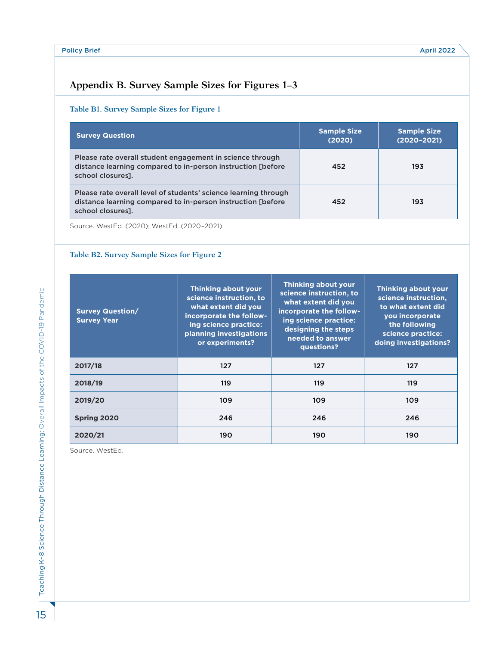# **Appendix B. Survey Sample Sizes for Figures 1–3**

#### **Table B1. Survey Sample Sizes for Figure 1**

| <b>Survey Question</b>                                                                                                                               | <b>Sample Size</b><br>(2020) | <b>Sample Size</b><br>$(2020 - 2021)$ |
|------------------------------------------------------------------------------------------------------------------------------------------------------|------------------------------|---------------------------------------|
| Please rate overall student engagement in science through<br>distance learning compared to in-person instruction [before]<br>school closures].       | 452                          | 193                                   |
| Please rate overall level of students' science learning through<br>distance learning compared to in-person instruction [before]<br>school closures]. | 452                          | 193                                   |

Source. WestEd. (2020); WestEd. (2020–2021).

#### **Table B2. Survey Sample Sizes for Figure 2**

| <b>Survey Question/</b><br><b>Survey Year</b> | <b>Thinking about your</b><br>science instruction, to<br>what extent did you<br>incorporate the follow-<br>ing science practice:<br>planning investigations<br>or experiments? | Thinking about your<br>science instruction, to<br>what extent did you<br>incorporate the follow-<br>ing science practice:<br>designing the steps<br>needed to answer<br>questions? | <b>Thinking about your</b><br>science instruction.<br>to what extent did<br>you incorporate<br>the following<br>science practice:<br>doing investigations? |
|-----------------------------------------------|--------------------------------------------------------------------------------------------------------------------------------------------------------------------------------|------------------------------------------------------------------------------------------------------------------------------------------------------------------------------------|------------------------------------------------------------------------------------------------------------------------------------------------------------|
| 2017/18                                       | 127                                                                                                                                                                            | 127                                                                                                                                                                                | 127                                                                                                                                                        |
| 2018/19                                       | 119                                                                                                                                                                            | 119                                                                                                                                                                                | 119                                                                                                                                                        |
| 2019/20                                       | 109                                                                                                                                                                            | 109                                                                                                                                                                                | 109                                                                                                                                                        |
| Spring 2020                                   | 246                                                                                                                                                                            | 246                                                                                                                                                                                | 246                                                                                                                                                        |
| 2020/21                                       | 190                                                                                                                                                                            | 190                                                                                                                                                                                | 190                                                                                                                                                        |

Source. WestEd.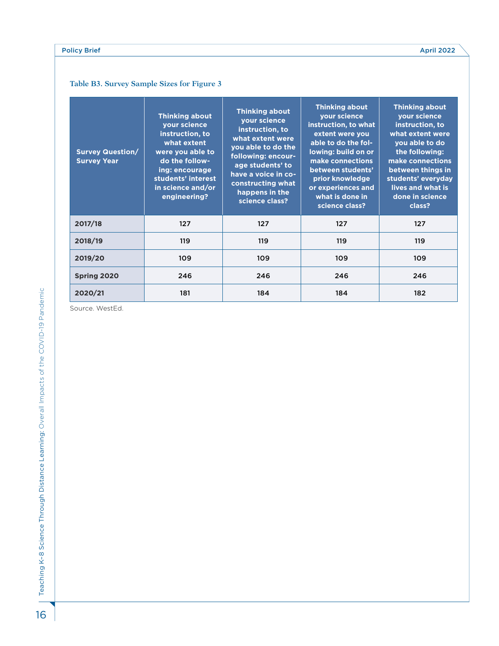#### Policy Brief April 2022

# **Table B3. Survey Sample Sizes for Figure 3**

| <b>Survey Question/</b><br><b>Survey Year</b> | <b>Thinking about</b><br>your science<br>instruction, to<br>what extent<br>were you able to<br>do the follow-<br>ing: encourage<br>students' interest<br>in science and/or<br>engineering? | <b>Thinking about</b><br>your science<br>instruction, to<br>what extent were<br>you able to do the<br>following: encour-<br>age students' to<br>have a voice in co-<br>constructing what<br>happens in the<br>science class? | <b>Thinking about</b><br>your science<br>instruction, to what<br>extent were you<br>able to do the fol-<br>lowing: build on or<br>make connections<br>between students'<br>prior knowledge<br>or experiences and<br>what is done in<br>science class? | <b>Thinking about</b><br>your science<br>instruction, to<br>what extent were<br>you able to do<br>the following:<br>make connections<br>between things in<br>students' everyday<br>lives and what is<br>done in science<br>class? |
|-----------------------------------------------|--------------------------------------------------------------------------------------------------------------------------------------------------------------------------------------------|------------------------------------------------------------------------------------------------------------------------------------------------------------------------------------------------------------------------------|-------------------------------------------------------------------------------------------------------------------------------------------------------------------------------------------------------------------------------------------------------|-----------------------------------------------------------------------------------------------------------------------------------------------------------------------------------------------------------------------------------|
| 2017/18                                       | 127                                                                                                                                                                                        | 127                                                                                                                                                                                                                          | 127                                                                                                                                                                                                                                                   | 127                                                                                                                                                                                                                               |
| 2018/19                                       | 119                                                                                                                                                                                        | 119                                                                                                                                                                                                                          | 119                                                                                                                                                                                                                                                   | 119                                                                                                                                                                                                                               |
| 2019/20                                       | 109                                                                                                                                                                                        | 109                                                                                                                                                                                                                          | 109                                                                                                                                                                                                                                                   | 109                                                                                                                                                                                                                               |
| Spring 2020                                   | 246                                                                                                                                                                                        | 246                                                                                                                                                                                                                          | 246                                                                                                                                                                                                                                                   | 246                                                                                                                                                                                                                               |
| 2020/21                                       | 181                                                                                                                                                                                        | 184                                                                                                                                                                                                                          | 184                                                                                                                                                                                                                                                   | 182                                                                                                                                                                                                                               |

Source. WestEd.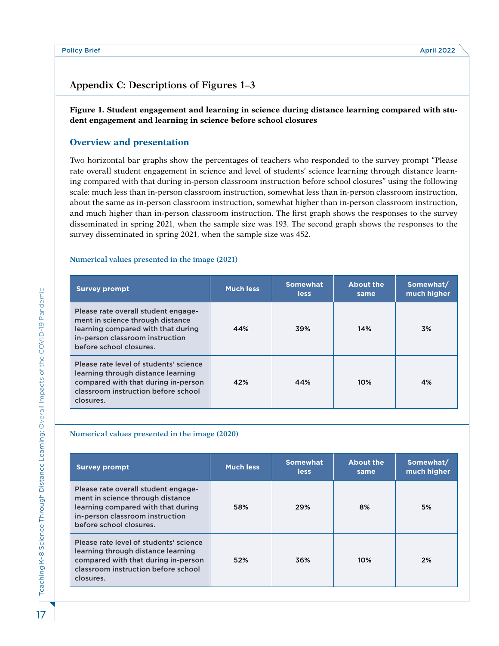# **Appendix C: Descriptions of Figures 1–3**

#### **Figure 1. Student engagement and learning in science during distance learning compared with student engagement and learning in science before school closures**

# **Overview and presentation**

Two horizontal bar graphs show the percentages of teachers who responded to the survey prompt "Please rate overall student engagement in science and level of students' science learning through distance learning compared with that during in-person classroom instruction before school closures" using the following scale: much less than in-person classroom instruction, somewhat less than in-person classroom instruction, about the same as in-person classroom instruction, somewhat higher than in-person classroom instruction, and much higher than in-person classroom instruction. The first graph shows the responses to the survey disseminated in spring 2021, when the sample size was 193. The second graph shows the responses to the survey disseminated in spring 2021, when the sample size was 452.

#### **Numerical values presented in the image (2021)**

| <b>Survey prompt</b>                                                                                                                                                        | <b>Much less</b> | <b>Somewhat</b><br><b>less</b> | <b>About the</b><br>same | Somewhat/<br>much higher |
|-----------------------------------------------------------------------------------------------------------------------------------------------------------------------------|------------------|--------------------------------|--------------------------|--------------------------|
| Please rate overall student engage-<br>ment in science through distance<br>learning compared with that during<br>in-person classroom instruction<br>before school closures. | 44%              | 39%                            | 14%                      | 3%                       |
| Please rate level of students' science<br>learning through distance learning<br>compared with that during in-person<br>classroom instruction before school<br>closures.     | 42%              | 44%                            | 10%                      | 4%                       |

#### **Numerical values presented in the image (2020)**

| <b>Survey prompt</b>                                                                                                                                                        | <b>Much less</b> | <b>Somewhat</b><br><b>less</b> | <b>About the</b><br>same | Somewhat/<br>much higher |
|-----------------------------------------------------------------------------------------------------------------------------------------------------------------------------|------------------|--------------------------------|--------------------------|--------------------------|
| Please rate overall student engage-<br>ment in science through distance<br>learning compared with that during<br>in-person classroom instruction<br>before school closures. | 58%              | 29%                            | 8%                       | 5%                       |
| Please rate level of students' science<br>learning through distance learning<br>compared with that during in-person<br>classroom instruction before school<br>closures.     | 52%              | 36%                            | 10%                      | 2%                       |